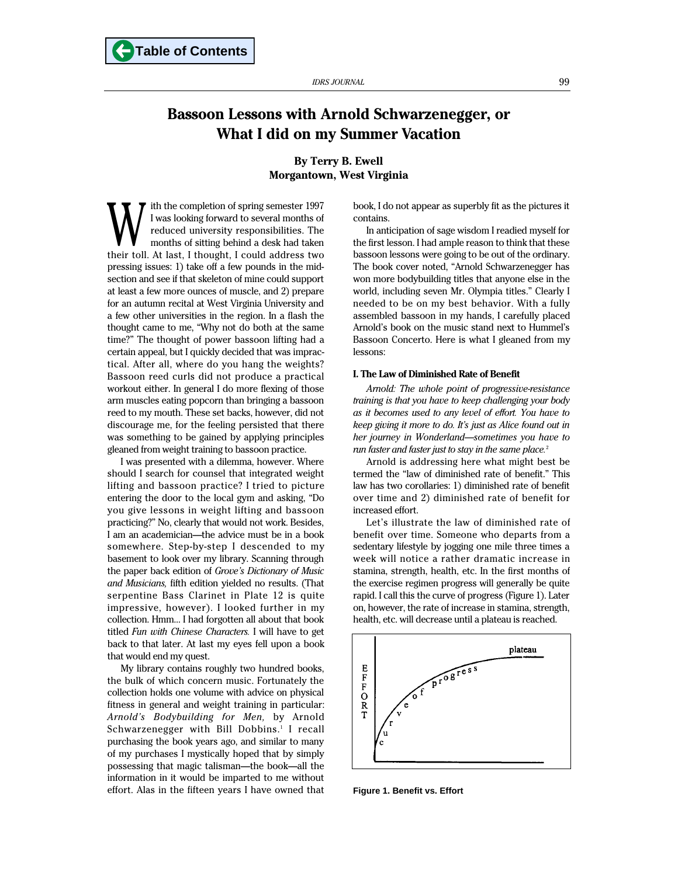# **Bassoon Lessons with Arnold Schwarzenegger, or What I did on my Summer Vacation**

**By Terry B. Ewell Morgantown, West Virginia**

ith the completion of spring semester 1997 I was looking forward to several months of reduced university responsibilities. The months of sitting behind a desk had taken W I was looking forward to several months of reduced university responsibilities. The months of sitting behind a desk had taken their toll. At last, I thought, I could address two pressing issues: 1) take off a few pounds in the midsection and see if that skeleton of mine could support at least a few more ounces of muscle, and 2) prepare for an autumn recital at West Virginia University and a few other universities in the region. In a flash the thought came to me, "Why not do both at the same time?" The thought of power bassoon lifting had a certain appeal, but I quickly decided that was impractical. After all, where do you hang the weights? Bassoon reed curls did not produce a practical workout either. In general I do more flexing of those arm muscles eating popcorn than bringing a bassoon reed to my mouth. These set backs, however, did not discourage me, for the feeling persisted that there was something to be gained by applying principles gleaned from weight training to bassoon practice.

I was presented with a dilemma, however. Where should I search for counsel that integrated weight lifting and bassoon practice? I tried to picture entering the door to the local gym and asking, "Do you give lessons in weight lifting and bassoon practicing?" No, clearly that would not work. Besides, I am an academician—the advice must be in a book somewhere. Step-by-step I descended to my basement to look over my library. Scanning through the paper back edition of *Grove's Dictionary of Music and Musicians,* fifth edition yielded no results. (That serpentine Bass Clarinet in Plate 12 is quite impressive, however). I looked further in my collection. Hmm... I had forgotten all about that book titled *Fun with Chinese Characters.* I will have to get back to that later. At last my eyes fell upon a book that would end my quest.

My library contains roughly two hundred books, the bulk of which concern music. Fortunately the collection holds one volume with advice on physical fitness in general and weight training in particular: *Arnold's Bodybuilding for Men,* by Arnold Schwarzenegger with Bill Dobbins.<sup>1</sup> I recall purchasing the book years ago, and similar to many of my purchases I mystically hoped that by simply possessing that magic talisman—the book—all the information in it would be imparted to me without effort. Alas in the fifteen years I have owned that book, I do not appear as superbly fit as the pictures it contains.

In anticipation of sage wisdom I readied myself for the first lesson. I had ample reason to think that these bassoon lessons were going to be out of the ordinary. The book cover noted, "Arnold Schwarzenegger has won more bodybuilding titles that anyone else in the world, including seven Mr. Olympia titles." Clearly I needed to be on my best behavior. With a fully assembled bassoon in my hands, I carefully placed Arnold's book on the music stand next to Hummel's Bassoon Concerto. Here is what I gleaned from my lessons:

#### **I. The Law of Diminished Rate of Benefit**

*Arnold: The whole point of progressive-resistance training is that you have to keep challenging your body as it becomes used to any level of effort. You have to keep giving it more to do. It's just as Alice found out in her journey in Wonderland—sometimes you have to run faster and faster just to stay in the same place.*<sup>2</sup>

Arnold is addressing here what might best be termed the "law of diminished rate of benefit." This law has two corollaries: 1) diminished rate of benefit over time and 2) diminished rate of benefit for increased effort.

Let's illustrate the law of diminished rate of benefit over time. Someone who departs from a sedentary lifestyle by jogging one mile three times a week will notice a rather dramatic increase in stamina, strength, health, etc. In the first months of the exercise regimen progress will generally be quite rapid. I call this the curve of progress (Figure 1). Later on, however, the rate of increase in stamina, strength, health, etc. will decrease until a plateau is reached.



**Figure 1. Benefit vs. Effort**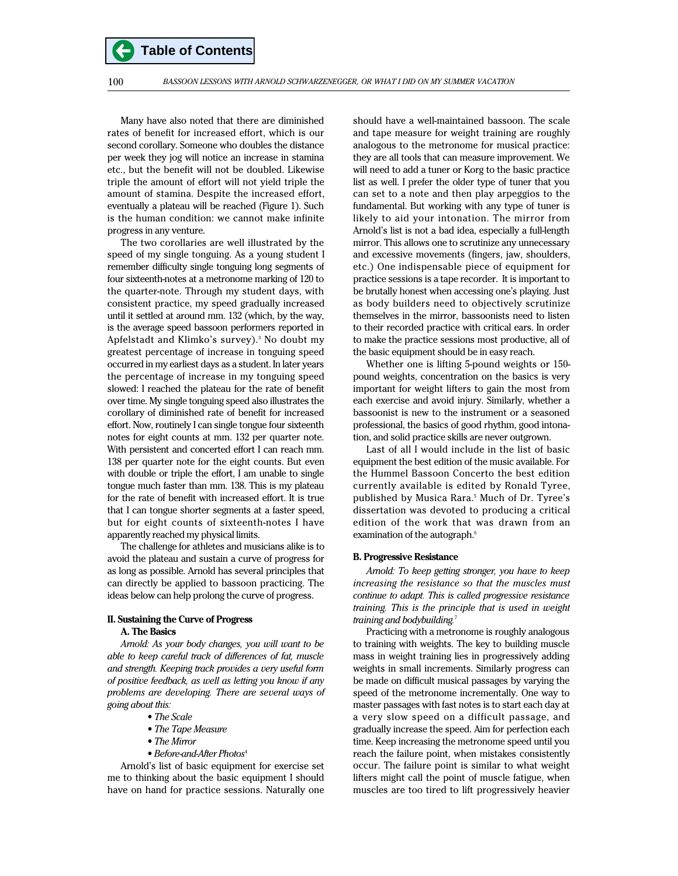Many have also noted that there are diminished rates of benefit for increased effort, which is our second corollary. Someone who doubles the distance per week they jog will notice an increase in stamina etc., but the benefit will not be doubled. Likewise triple the amount of effort will not yield triple the amount of stamina. Despite the increased effort, eventually a plateau will be reached (Figure 1). Such is the human condition: we cannot make infinite progress in any venture.

The two corollaries are well illustrated by the speed of my single tonguing. As a young student I remember difficulty single tonguing long segments of four sixteenth-notes at a metronome marking of 120 to the quarter-note. Through my student days, with consistent practice, my speed gradually increased until it settled at around mm. 132 (which, by the way, is the average speed bassoon performers reported in Apfelstadt and Klimko's survey).<sup>3</sup> No doubt my greatest percentage of increase in tonguing speed occurred in my earliest days as a student. In later years the percentage of increase in my tonguing speed slowed: I reached the plateau for the rate of benefit over time. My single tonguing speed also illustrates the corollary of diminished rate of benefit for increased effort. Now, routinely I can single tongue four sixteenth notes for eight counts at mm. 132 per quarter note. With persistent and concerted effort I can reach mm. 138 per quarter note for the eight counts. But even with double or triple the effort, I am unable to single tongue much faster than mm. 138. This is my plateau for the rate of benefit with increased effort. It is true that I can tongue shorter segments at a faster speed, but for eight counts of sixteenth-notes I have apparently reached my physical limits.

The challenge for athletes and musicians alike is to avoid the plateau and sustain a curve of progress for as long as possible. Arnold has several principles that can directly be applied to bassoon practicing. The ideas below can help prolong the curve of progress.

# **II. Sustaining the Curve of Progress A. The Basics**

*Arnold: As your body changes, you will want to be able to keep careful track of differences of fat, muscle and strength. Keeping track provides a very useful form of positive feedback, as well as letting you know if any problems are developing. There are several ways of going about this:*

- *The Scale*
- *The Tape Measure*
- *The Mirror*
- *Before-and-After Photos*<sup>4</sup>

Arnold's list of basic equipment for exercise set me to thinking about the basic equipment I should have on hand for practice sessions. Naturally one should have a well-maintained bassoon. The scale and tape measure for weight training are roughly analogous to the metronome for musical practice: they are all tools that can measure improvement. We will need to add a tuner or Korg to the basic practice list as well. I prefer the older type of tuner that you can set to a note and then play arpeggios to the fundamental. But working with any type of tuner is likely to aid your intonation. The mirror from Arnold's list is not a bad idea, especially a full-length mirror. This allows one to scrutinize any unnecessary and excessive movements (fingers, jaw, shoulders, etc.) One indispensable piece of equipment for practice sessions is a tape recorder. It is important to be brutally honest when accessing one's playing. Just as body builders need to objectively scrutinize themselves in the mirror, bassoonists need to listen to their recorded practice with critical ears. In order to make the practice sessions most productive, all of the basic equipment should be in easy reach.

Whether one is lifting 5-pound weights or 150 pound weights, concentration on the basics is very important for weight lifters to gain the most from each exercise and avoid injury. Similarly, whether a bassoonist is new to the instrument or a seasoned professional, the basics of good rhythm, good intonation, and solid practice skills are never outgrown.

Last of all I would include in the list of basic equipment the best edition of the music available. For the Hummel Bassoon Concerto the best edition currently available is edited by Ronald Tyree, published by Musica Rara.<sup>5</sup> Much of Dr. Tyree's dissertation was devoted to producing a critical edition of the work that was drawn from an examination of the autograph.<sup>6</sup>

#### **B. Progressive Resistance**

*Arnold: To keep getting stronger, you have to keep increasing the resistance so that the muscles must continue to adapt. This is called progressive resistance training. This is the principle that is used in weight training and bodybuilding.*<sup>7</sup>

Practicing with a metronome is roughly analogous to training with weights. The key to building muscle mass in weight training lies in progressively adding weights in small increments. Similarly progress can be made on difficult musical passages by varying the speed of the metronome incrementally. One way to master passages with fast notes is to start each day at a very slow speed on a difficult passage, and gradually increase the speed. Aim for perfection each time. Keep increasing the metronome speed until you reach the failure point, when mistakes consistently occur. The failure point is similar to what weight lifters might call the point of muscle fatigue, when muscles are too tired to lift progressively heavier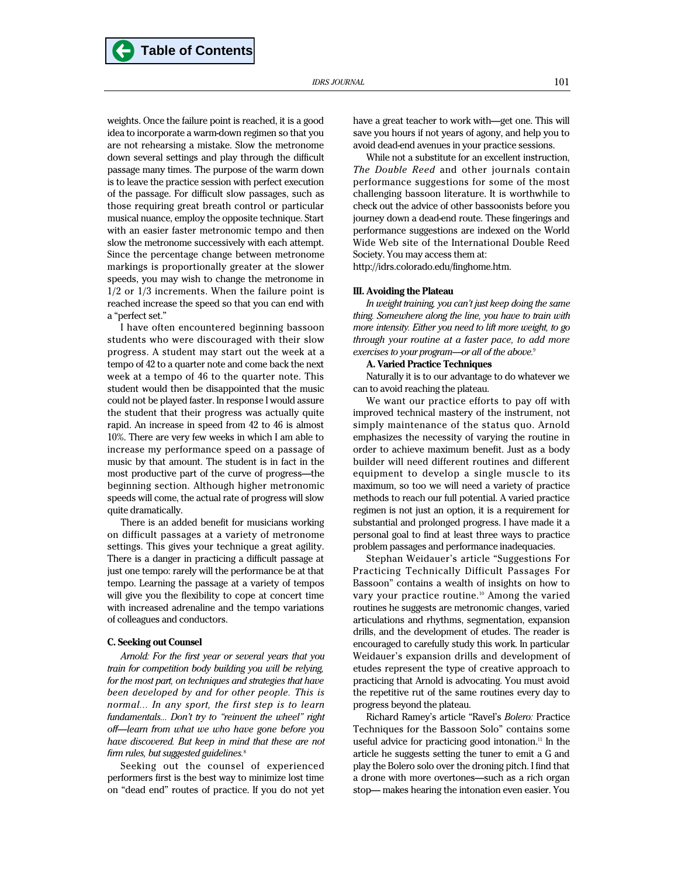weights. Once the failure point is reached, it is a good idea to incorporate a warm-down regimen so that you are not rehearsing a mistake. Slow the metronome down several settings and play through the difficult passage many times. The purpose of the warm down is to leave the practice session with perfect execution of the passage. For difficult slow passages, such as those requiring great breath control or particular musical nuance, employ the opposite technique. Start with an easier faster metronomic tempo and then slow the metronome successively with each attempt. Since the percentage change between metronome markings is proportionally greater at the slower speeds, you may wish to change the metronome in 1/2 or 1/3 increments. When the failure point is reached increase the speed so that you can end with a "perfect set."

I have often encountered beginning bassoon students who were discouraged with their slow progress. A student may start out the week at a tempo of 42 to a quarter note and come back the next week at a tempo of 46 to the quarter note. This student would then be disappointed that the music could not be played faster. In response I would assure the student that their progress was actually quite rapid. An increase in speed from 42 to 46 is almost 10%. There are very few weeks in which I am able to increase my performance speed on a passage of music by that amount. The student is in fact in the most productive part of the curve of progress—the beginning section. Although higher metronomic speeds will come, the actual rate of progress will slow quite dramatically.

There is an added benefit for musicians working on difficult passages at a variety of metronome settings. This gives your technique a great agility. There is a danger in practicing a difficult passage at just one tempo: rarely will the performance be at that tempo. Learning the passage at a variety of tempos will give you the flexibility to cope at concert time with increased adrenaline and the tempo variations of colleagues and conductors.

#### **C. Seeking out Counsel**

*Arnold: For the first year or several years that you train for competition body building you will be relying, for the most part, on techniques and strategies that have been developed by and for other people. This is normal... In any sport, the first step is to learn fundamentals... Don't try to "reinvent the wheel" right off—learn from what we who have gone before you have discovered. But keep in mind that these are not firm rules, but suggested guidelines.*<sup>8</sup>

Seeking out the counsel of experienced performers first is the best way to minimize lost time on "dead end" routes of practice. If you do not yet have a great teacher to work with—get one. This will save you hours if not years of agony, and help you to avoid dead-end avenues in your practice sessions.

While not a substitute for an excellent instruction, *The Double Reed* and other journals contain performance suggestions for some of the most challenging bassoon literature. It is worthwhile to check out the advice of other bassoonists before you journey down a dead-end route. These fingerings and performance suggestions are indexed on the World Wide Web site of the International Double Reed Society. You may access them at:

http://idrs.colorado.edu/finghome.htm.

#### **III. Avoiding the Plateau**

*In weight training, you can't just keep doing the same thing. Somewhere along the line, you have to train with more intensity. Either you need to lift more weight, to go through your routine at a faster pace, to add more exercises to your program—or all of the above.*<sup>9</sup>

## **A. Varied Practice Techniques**

Naturally it is to our advantage to do whatever we can to avoid reaching the plateau.

We want our practice efforts to pay off with improved technical mastery of the instrument, not simply maintenance of the status quo. Arnold emphasizes the necessity of varying the routine in order to achieve maximum benefit. Just as a body builder will need different routines and different equipment to develop a single muscle to its maximum, so too we will need a variety of practice methods to reach our full potential. A varied practice regimen is not just an option, it is a requirement for substantial and prolonged progress. I have made it a personal goal to find at least three ways to practice problem passages and performance inadequacies.

Stephan Weidauer's article "Suggestions For Practicing Technically Difficult Passages For Bassoon" contains a wealth of insights on how to vary your practice routine.<sup>10</sup> Among the varied routines he suggests are metronomic changes, varied articulations and rhythms, segmentation, expansion drills, and the development of etudes. The reader is encouraged to carefully study this work. In particular Weidauer's expansion drills and development of etudes represent the type of creative approach to practicing that Arnold is advocating. You must avoid the repetitive rut of the same routines every day to progress beyond the plateau.

Richard Ramey's article "Ravel's *Bolero:* Practice Techniques for the Bassoon Solo" contains some useful advice for practicing good intonation.<sup>11</sup> In the article he suggests setting the tuner to emit a G and play the Bolero solo over the droning pitch. I find that a drone with more overtones—such as a rich organ stop— makes hearing the intonation even easier. You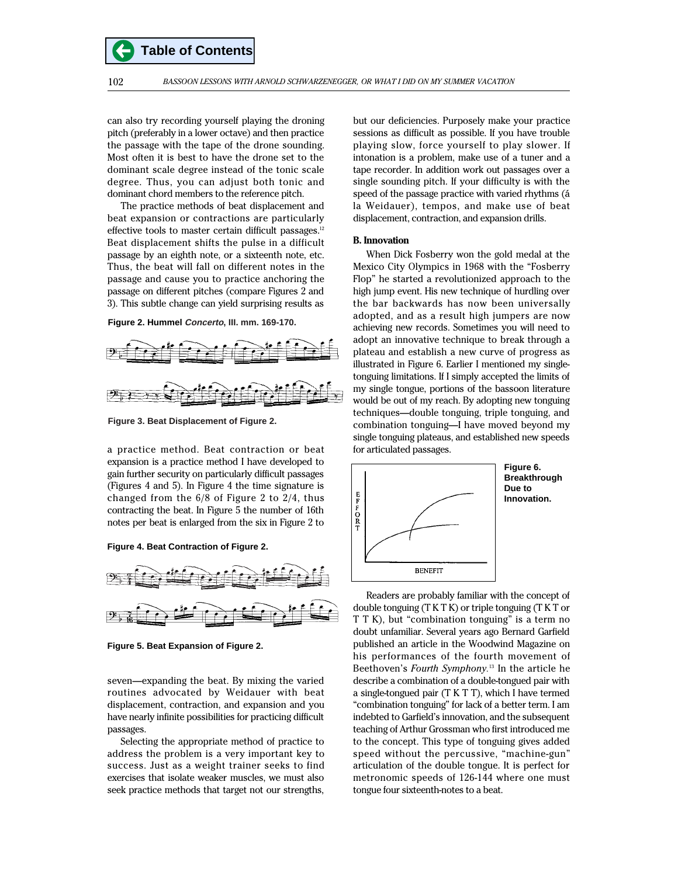**Table of Contents**

can also try recording yourself playing the droning pitch (preferably in a lower octave) and then practice the passage with the tape of the drone sounding. Most often it is best to have the drone set to the dominant scale degree instead of the tonic scale degree. Thus, you can adjust both tonic and dominant chord members to the reference pitch.

The practice methods of beat displacement and beat expansion or contractions are particularly effective tools to master certain difficult passages.<sup>12</sup> Beat displacement shifts the pulse in a difficult passage by an eighth note, or a sixteenth note, etc. Thus, the beat will fall on different notes in the passage and cause you to practice anchoring the passage on different pitches (compare Figures 2 and 3). This subtle change can yield surprising results as





**Figure 3. Beat Displacement of Figure 2.**

a practice method. Beat contraction or beat expansion is a practice method I have developed to gain further security on particularly difficult passages (Figures 4 and 5). In Figure 4 the time signature is changed from the 6/8 of Figure 2 to 2/4, thus contracting the beat. In Figure 5 the number of 16th notes per beat is enlarged from the six in Figure 2 to





**Figure 5. Beat Expansion of Figure 2.**

seven—expanding the beat. By mixing the varied routines advocated by Weidauer with beat displacement, contraction, and expansion and you have nearly infinite possibilities for practicing difficult passages.

Selecting the appropriate method of practice to address the problem is a very important key to success. Just as a weight trainer seeks to find exercises that isolate weaker muscles, we must also seek practice methods that target not our strengths, but our deficiencies. Purposely make your practice sessions as difficult as possible. If you have trouble playing slow, force yourself to play slower. If intonation is a problem, make use of a tuner and a tape recorder. In addition work out passages over a single sounding pitch. If your difficulty is with the speed of the passage practice with varied rhythms (á la Weidauer), tempos, and make use of beat displacement, contraction, and expansion drills.

# **B. Innovation**

When Dick Fosberry won the gold medal at the Mexico City Olympics in 1968 with the "Fosberry Flop" he started a revolutionized approach to the high jump event. His new technique of hurdling over the bar backwards has now been universally adopted, and as a result high jumpers are now achieving new records. Sometimes you will need to adopt an innovative technique to break through a plateau and establish a new curve of progress as illustrated in Figure 6. Earlier I mentioned my singletonguing limitations. If I simply accepted the limits of my single tongue, portions of the bassoon literature would be out of my reach. By adopting new tonguing techniques—double tonguing, triple tonguing, and combination tonguing—I have moved beyond my single tonguing plateaus, and established new speeds for articulated passages.



Readers are probably familiar with the concept of double tonguing (T K T K) or triple tonguing (T K T or T T K), but "combination tonguing" is a term no doubt unfamiliar. Several years ago Bernard Garfield published an article in the Woodwind Magazine on his performances of the fourth movement of Beethoven's *Fourth Symphony.*<sup>13</sup> In the article he describe a combination of a double-tongued pair with a single-tongued pair (T K T T), which I have termed "combination tonguing" for lack of a better term. I am indebted to Garfield's innovation, and the subsequent teaching of Arthur Grossman who first introduced me to the concept. This type of tonguing gives added speed without the percussive, "machine-gun" articulation of the double tongue. It is perfect for metronomic speeds of 126-144 where one must tongue four sixteenth-notes to a beat.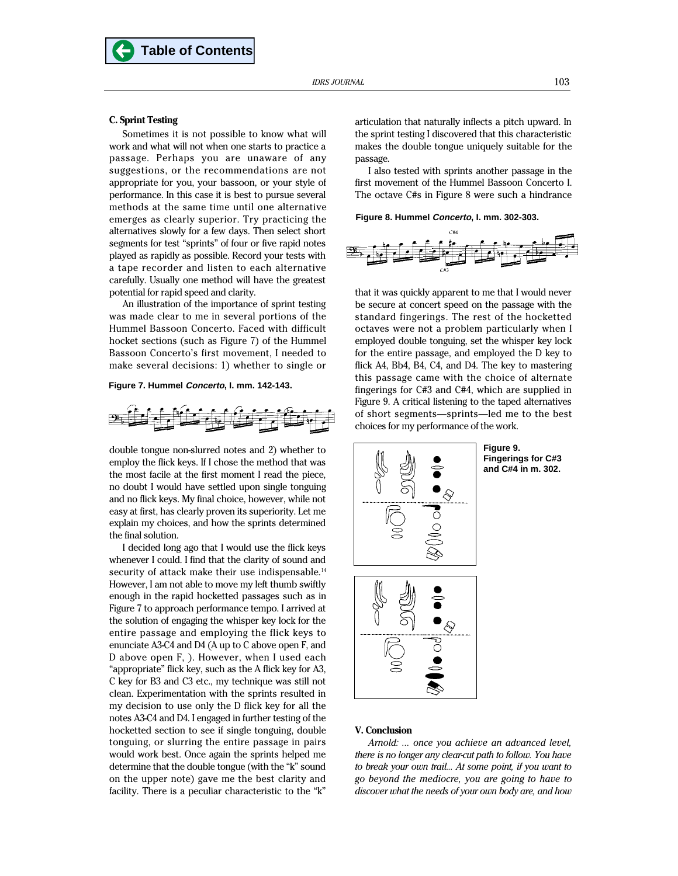Sometimes it is not possible to know what will work and what will not when one starts to practice a passage. Perhaps you are unaware of any suggestions, or the recommendations are not appropriate for you, your bassoon, or your style of performance. In this case it is best to pursue several methods at the same time until one alternative emerges as clearly superior. Try practicing the alternatives slowly for a few days. Then select short segments for test "sprints" of four or five rapid notes played as rapidly as possible. Record your tests with a tape recorder and listen to each alternative carefully. Usually one method will have the greatest potential for rapid speed and clarity.

**Table of Contents**

An illustration of the importance of sprint testing was made clear to me in several portions of the Hummel Bassoon Concerto. Faced with difficult hocket sections (such as Figure 7) of the Hummel Bassoon Concerto's first movement, I needed to make several decisions: 1) whether to single or

#### **Figure 7. Hummel Concerto, I. mm. 142-143.**



double tongue non-slurred notes and 2) whether to employ the flick keys. If I chose the method that was the most facile at the first moment I read the piece, no doubt I would have settled upon single tonguing and no flick keys. My final choice, however, while not easy at first, has clearly proven its superiority. Let me explain my choices, and how the sprints determined the final solution.

I decided long ago that I would use the flick keys whenever I could. I find that the clarity of sound and security of attack make their use indispensable.<sup>14</sup> However, I am not able to move my left thumb swiftly enough in the rapid hocketted passages such as in Figure 7 to approach performance tempo. I arrived at the solution of engaging the whisper key lock for the entire passage and employing the flick keys to enunciate A3-C4 and D4 (A up to C above open F, and D above open F, ). However, when I used each "appropriate" flick key, such as the A flick key for A3, C key for B3 and C3 etc., my technique was still not clean. Experimentation with the sprints resulted in my decision to use only the D flick key for all the notes A3-C4 and D4. I engaged in further testing of the hocketted section to see if single tonguing, double tonguing, or slurring the entire passage in pairs would work best. Once again the sprints helped me determine that the double tongue (with the "k" sound on the upper note) gave me the best clarity and facility. There is a peculiar characteristic to the "k"

articulation that naturally inflects a pitch upward. In the sprint testing I discovered that this characteristic makes the double tongue uniquely suitable for the passage.

I also tested with sprints another passage in the first movement of the Hummel Bassoon Concerto I. The octave C#s in Figure 8 were such a hindrance

## **Figure 8. Hummel Concerto, I. mm. 302-303.**



that it was quickly apparent to me that I would never be secure at concert speed on the passage with the standard fingerings. The rest of the hocketted octaves were not a problem particularly when I employed double tonguing, set the whisper key lock for the entire passage, and employed the D key to flick A4, Bb4, B4, C4, and D4. The key to mastering this passage came with the choice of alternate fingerings for C#3 and C#4, which are supplied in Figure 9. A critical listening to the taped alternatives of short segments—sprints—led me to the best choices for my performance of the work.



**Figure 9. Fingerings for C#3 and C#4 in m. 302.**



## **V. Conclusion**

*Arnold: ... once you achieve an advanced level, there is no longer any clear-cut path to follow. You have to break your own trail... At some point, if you want to go beyond the mediocre, you are going to have to discover what the needs of your own body are, and how*